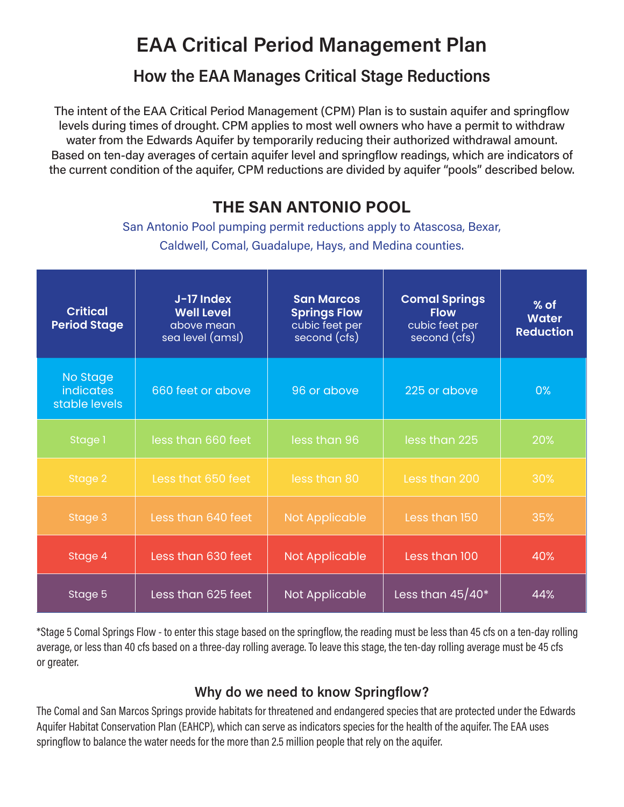# EAA Critical Period Management Plan

### How the EAA Manages Critical Stage Reductions

The intent of the EAA Critical Period Management (CPM) Plan is to sustain aquifer and springflow levels during times of drought. CPM applies to most well owners who have a permit to withdraw water from the Edwards Aquifer by temporarily reducing their authorized withdrawal amount. Based on ten-day averages of certain aquifer level and springflow readings, which are indicators of the current condition of the aquifer, CPM reductions are divided by aquifer "pools" described below.

## THE SAN ANTONIO POOL

San Antonio Pool pumping permit reductions apply to Atascosa, Bexar, Caldwell, Comal, Guadalupe, Hays, and Medina counties.

| <b>Critical</b><br><b>Period Stage</b>        | J-17 Index<br><b>Well Level</b><br>above mean<br>sea level (amsl) | <b>San Marcos</b><br><b>Springs Flow</b><br>cubic feet per<br>second (cfs) | <b>Comal Springs</b><br><b>Flow</b><br>cubic feet per<br>second (cfs) | $%$ of<br><b>Water</b><br><b>Reduction</b> |
|-----------------------------------------------|-------------------------------------------------------------------|----------------------------------------------------------------------------|-----------------------------------------------------------------------|--------------------------------------------|
| No Stage<br><i>indicates</i><br>stable levels | 660 feet or above                                                 | 96 or above                                                                | 225 or above                                                          | 0%                                         |
| Stage 1                                       | less than 660 feet                                                | less than 96                                                               | less than 225                                                         | 20%                                        |
| Stage 2                                       | Less that 650 feet                                                | less than 80                                                               | Less than 200                                                         | 30%                                        |
| Stage 3                                       | Less than 640 feet                                                | <b>Not Applicable</b>                                                      | Less than 150                                                         | 35%                                        |
| Stage 4                                       | Less than 630 feet                                                | <b>Not Applicable</b>                                                      | Less than 100                                                         | 40%                                        |
| Stage 5                                       | Less than 625 feet                                                | Not Applicable                                                             | Less than $45/40*$                                                    | 44%                                        |

\*Stage 5 Comal Springs Flow - to enter this stage based on the springflow, the reading must be less than 45 cfs on a ten-day rolling average, or less than 40 cfs based on a three-day rolling average. To leave this stage, the ten-day rolling average must be 45 cfs or greater.

#### Why do we need to know Springflow?

The Comal and San Marcos Springs provide habitats for threatened and endangered species that are protected under the Edwards Aquifer Habitat Conservation Plan (EAHCP), which can serve as indicators species for the health of the aquifer. The EAA uses springflow to balance the water needs for the more than 2.5 million people that rely on the aquifer.